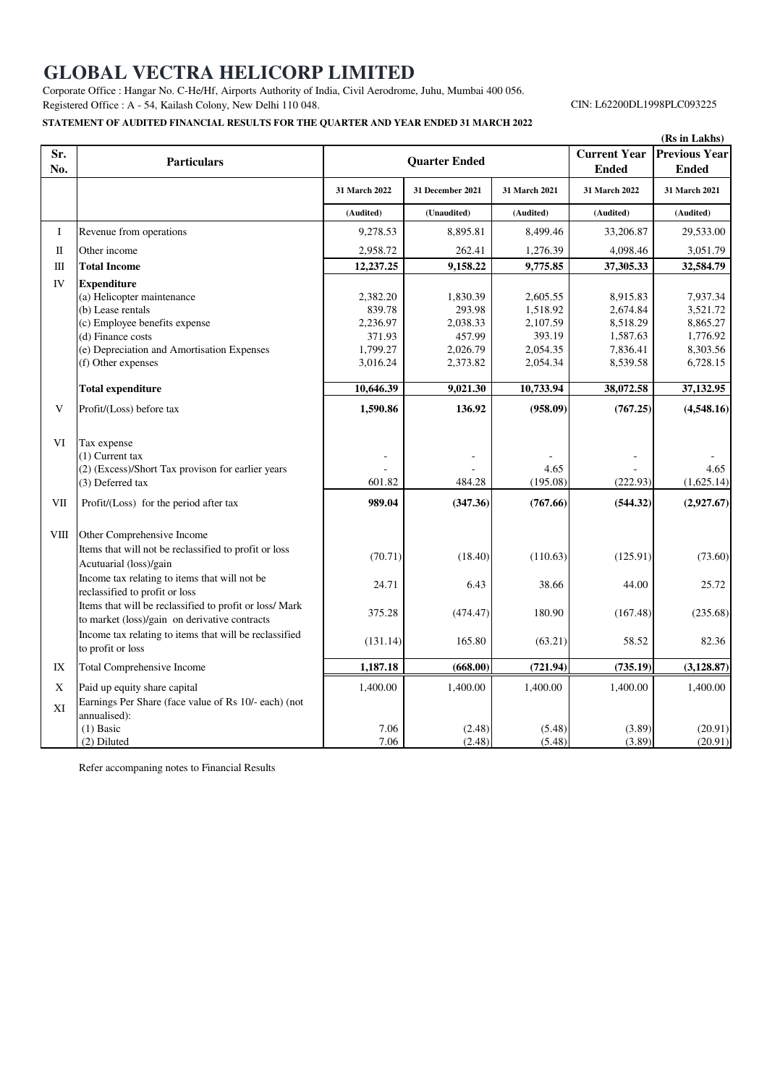# **GLOBAL VECTRA HELICORP LIMITED**

Corporate Office : Hangar No. C-He/Hf, Airports Authority of India, Civil Aerodrome, Juhu, Mumbai 400 056. Registered Office : A - 54, Kailash Colony, New Delhi 110 048.

## **STATEMENT OF AUDITED FINANCIAL RESULTS FOR THE QUARTER AND YEAR ENDED 31 MARCH 2022**

CIN: L62200DL1998PLC093225

|               |                                                                                                                                                                                                                                                                                                                                                  |                                                                                           |                                                                                        |                                                                                                     |                                                                                               | (Rs in Lakhs)                                                                                           |
|---------------|--------------------------------------------------------------------------------------------------------------------------------------------------------------------------------------------------------------------------------------------------------------------------------------------------------------------------------------------------|-------------------------------------------------------------------------------------------|----------------------------------------------------------------------------------------|-----------------------------------------------------------------------------------------------------|-----------------------------------------------------------------------------------------------|---------------------------------------------------------------------------------------------------------|
| Sr.<br>No.    | <b>Particulars</b>                                                                                                                                                                                                                                                                                                                               | <b>Quarter Ended</b>                                                                      |                                                                                        |                                                                                                     | <b>Current Year</b><br><b>Ended</b>                                                           | <b>Previous Year</b><br><b>Ended</b>                                                                    |
|               |                                                                                                                                                                                                                                                                                                                                                  | 31 March 2022                                                                             | 31 December 2021                                                                       | 31 March 2021                                                                                       | 31 March 2022                                                                                 | 31 March 2021                                                                                           |
|               |                                                                                                                                                                                                                                                                                                                                                  | (Audited)                                                                                 | (Unaudited)                                                                            | (Audited)                                                                                           | (Audited)                                                                                     | (Audited)                                                                                               |
| Ι             | Revenue from operations                                                                                                                                                                                                                                                                                                                          | 9,278.53                                                                                  | 8,895.81                                                                               | 8,499.46                                                                                            | 33,206.87                                                                                     | 29,533.00                                                                                               |
| $\mathbf{I}$  | Other income                                                                                                                                                                                                                                                                                                                                     | 2,958.72                                                                                  | 262.41                                                                                 | 1,276.39                                                                                            | 4,098.46                                                                                      | 3,051.79                                                                                                |
| Ш             | <b>Total Income</b>                                                                                                                                                                                                                                                                                                                              | 12,237.25                                                                                 | 9,158.22                                                                               | 9,775.85                                                                                            | 37,305.33                                                                                     | 32,584.79                                                                                               |
| IV<br>V<br>VI | <b>Expenditure</b><br>(a) Helicopter maintenance<br>(b) Lease rentals<br>(c) Employee benefits expense<br>(d) Finance costs<br>(e) Depreciation and Amortisation Expenses<br>(f) Other expenses<br><b>Total expenditure</b><br>Profit/(Loss) before tax<br>Tax expense<br>$(1)$ Current tax<br>(2) (Excess)/Short Tax provison for earlier years | 2,382.20<br>839.78<br>2,236.97<br>371.93<br>1,799.27<br>3,016.24<br>10,646.39<br>1,590.86 | 1,830.39<br>293.98<br>2,038.33<br>457.99<br>2,026.79<br>2,373.82<br>9,021.30<br>136.92 | 2,605.55<br>1,518.92<br>2,107.59<br>393.19<br>2,054.35<br>2,054.34<br>10,733.94<br>(958.09)<br>4.65 | 8,915.83<br>2,674.84<br>8,518.29<br>1,587.63<br>7,836.41<br>8,539.58<br>38,072.58<br>(767.25) | 7,937.34<br>3,521.72<br>8,865.27<br>1,776.92<br>8,303.56<br>6,728.15<br>37,132.95<br>(4,548.16)<br>4.65 |
|               | (3) Deferred tax                                                                                                                                                                                                                                                                                                                                 | 601.82                                                                                    | 484.28                                                                                 | (195.08)                                                                                            | (222.93)                                                                                      | (1,625.14)                                                                                              |
| VII           | Profit/(Loss) for the period after tax                                                                                                                                                                                                                                                                                                           | 989.04                                                                                    | (347.36)                                                                               | (767.66)                                                                                            | (544.32)                                                                                      | (2,927.67)                                                                                              |
| VIII          | Other Comprehensive Income<br>Items that will not be reclassified to profit or loss<br>Acutuarial (loss)/gain<br>Income tax relating to items that will not be<br>reclassified to profit or loss                                                                                                                                                 | (70.71)<br>24.71                                                                          | (18.40)<br>6.43                                                                        | (110.63)<br>38.66                                                                                   | (125.91)<br>44.00                                                                             | (73.60)<br>25.72                                                                                        |
|               | Items that will be reclassified to profit or loss/ Mark<br>to market (loss)/gain on derivative contracts<br>Income tax relating to items that will be reclassified<br>to profit or loss                                                                                                                                                          | 375.28<br>(131.14)                                                                        | (474.47)<br>165.80                                                                     | 180.90<br>(63.21)                                                                                   | (167.48)<br>58.52                                                                             | (235.68)<br>82.36                                                                                       |
| IX            | Total Comprehensive Income                                                                                                                                                                                                                                                                                                                       | 1,187.18                                                                                  | (668.00)                                                                               | (721.94)                                                                                            | (735.19)                                                                                      | (3, 128.87)                                                                                             |
| X<br>XI       | Paid up equity share capital<br>Earnings Per Share (face value of Rs 10/- each) (not<br>annualised):<br>$(1)$ Basic                                                                                                                                                                                                                              | 1,400.00<br>7.06                                                                          | 1,400.00<br>(2.48)                                                                     | 1,400.00<br>(5.48)                                                                                  | 1,400.00<br>(3.89)                                                                            | 1,400.00<br>(20.91)                                                                                     |
|               | (2) Diluted                                                                                                                                                                                                                                                                                                                                      | 7.06                                                                                      | (2.48)                                                                                 | (5.48)                                                                                              | (3.89)                                                                                        | (20.91)                                                                                                 |

Refer accompaning notes to Financial Results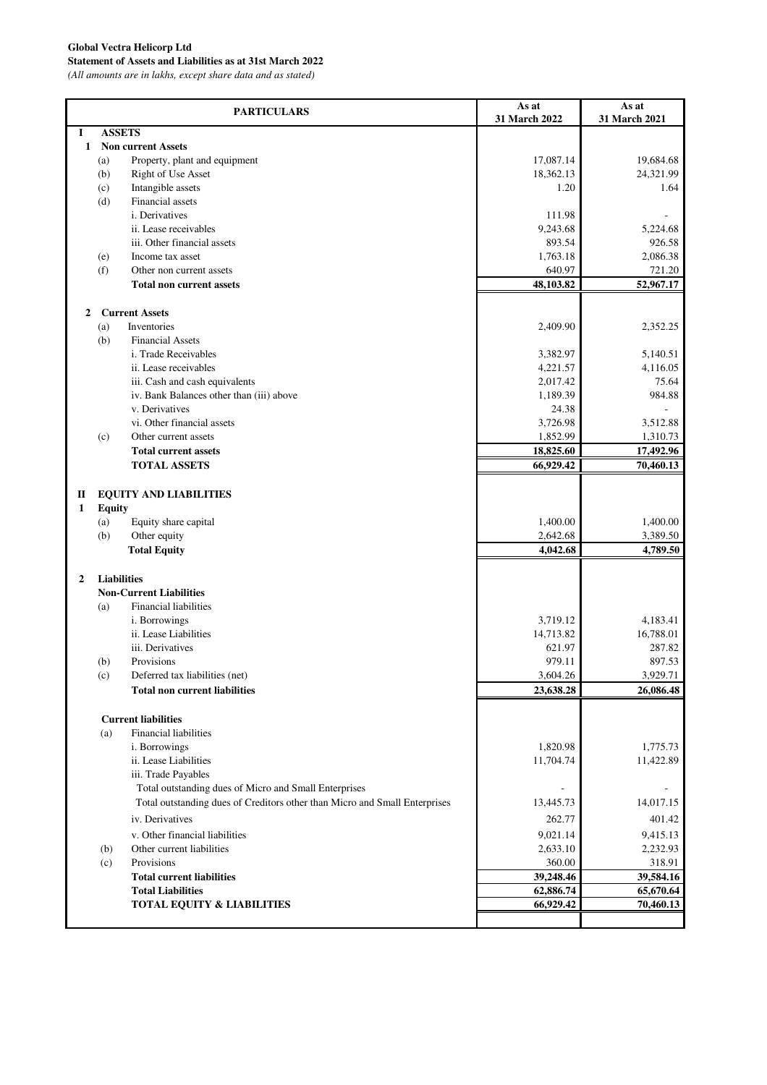## **Global Vectra Helicorp Ltd**

**Statement of Assets and Liabilities as at 31st March 2022**

*(All amounts are in lakhs, except share data and as stated)*

|                |                    | <b>PARTICULARS</b>                                                         | As at<br>31 March 2022 | As at<br>31 March 2021 |
|----------------|--------------------|----------------------------------------------------------------------------|------------------------|------------------------|
| 1              | <b>ASSETS</b>      |                                                                            |                        |                        |
| 1              |                    | <b>Non current Assets</b>                                                  |                        |                        |
|                | (a)                | Property, plant and equipment                                              | 17,087.14              | 19,684.68              |
|                | (b)                | Right of Use Asset                                                         | 18,362.13              | 24,321.99              |
|                | (c)                | Intangible assets                                                          | 1.20                   | 1.64                   |
|                | (d)                | Financial assets                                                           |                        |                        |
|                |                    | i. Derivatives                                                             | 111.98                 | 5,224.68               |
|                |                    | ii. Lease receivables<br>iii. Other financial assets                       | 9,243.68<br>893.54     | 926.58                 |
|                | (e)                | Income tax asset                                                           | 1,763.18               | 2,086.38               |
|                | (f)                | Other non current assets                                                   | 640.97                 | 721.20                 |
|                |                    | <b>Total non current assets</b>                                            | 48,103.82              | 52,967.17              |
|                |                    |                                                                            |                        |                        |
| $\mathbf{2}$   |                    | <b>Current Assets</b>                                                      |                        |                        |
|                | (a)                | Inventories                                                                | 2,409.90               | 2,352.25               |
|                | (b)                | <b>Financial Assets</b>                                                    |                        |                        |
|                |                    | i. Trade Receivables                                                       | 3,382.97               | 5,140.51               |
|                |                    | ii. Lease receivables                                                      | 4,221.57               | 4.116.05               |
|                |                    | iii. Cash and cash equivalents                                             | 2,017.42               | 75.64                  |
|                |                    | iv. Bank Balances other than (iii) above                                   | 1,189.39               | 984.88                 |
|                |                    | v. Derivatives                                                             | 24.38                  |                        |
|                |                    | vi. Other financial assets<br>Other current assets                         | 3,726.98<br>1,852.99   | 3,512.88               |
|                | (c)                | <b>Total current assets</b>                                                | 18,825.60              | 1,310.73               |
|                |                    | <b>TOTAL ASSETS</b>                                                        | 66,929.42              | 17,492.96<br>70,460.13 |
|                |                    |                                                                            |                        |                        |
| П              |                    | <b>EQUITY AND LIABILITIES</b>                                              |                        |                        |
| 1              | <b>Equity</b>      |                                                                            |                        |                        |
|                | (a)                | Equity share capital                                                       | 1,400.00               | 1,400.00               |
|                | (b)                | Other equity                                                               | 2,642.68               | 3,389.50               |
|                |                    | <b>Total Equity</b>                                                        | 4,042.68               | 4,789.50               |
|                |                    |                                                                            |                        |                        |
| $\overline{2}$ | <b>Liabilities</b> |                                                                            |                        |                        |
|                |                    | <b>Non-Current Liabilities</b>                                             |                        |                        |
|                | (a)                | <b>Financial liabilities</b>                                               |                        |                        |
|                |                    | i. Borrowings                                                              | 3,719.12               | 4,183.41               |
|                |                    | ii. Lease Liabilities                                                      | 14,713.82              | 16,788.01              |
|                |                    | iii. Derivatives<br>Provisions                                             | 621.97<br>979.11       | 287.82<br>897.53       |
|                | (b)                | Deferred tax liabilities (net)                                             | 3,604.26               | 3,929.71               |
|                | (c)                | <b>Total non current liabilities</b>                                       | 23,638.28              | 26,086.48              |
|                |                    |                                                                            |                        |                        |
|                |                    | <b>Current liabilities</b>                                                 |                        |                        |
|                | (a)                | <b>Financial liabilities</b>                                               |                        |                        |
|                |                    | <i>i</i> . Borrowings                                                      | 1,820.98               | 1,775.73               |
|                |                    | ii. Lease Liabilities                                                      | 11,704.74              | 11,422.89              |
|                |                    | iii. Trade Payables                                                        |                        |                        |
|                |                    | Total outstanding dues of Micro and Small Enterprises                      |                        | $\sim$                 |
|                |                    | Total outstanding dues of Creditors other than Micro and Small Enterprises | 13,445.73              | 14,017.15              |
|                |                    | iv. Derivatives                                                            | 262.77                 | 401.42                 |
|                |                    | v. Other financial liabilities                                             | 9,021.14               | 9,415.13               |
|                | (b)                | Other current liabilities                                                  | 2,633.10               | 2,232.93               |
|                | (c)                | Provisions                                                                 | 360.00                 | 318.91                 |
|                |                    | <b>Total current liabilities</b>                                           | 39,248.46              | 39,584.16              |
|                |                    | <b>Total Liabilities</b>                                                   | 62,886.74              | 65,670.64              |
|                |                    | TOTAL EQUITY & LIABILITIES                                                 | 66,929.42              | 70,460.13              |
|                |                    |                                                                            |                        |                        |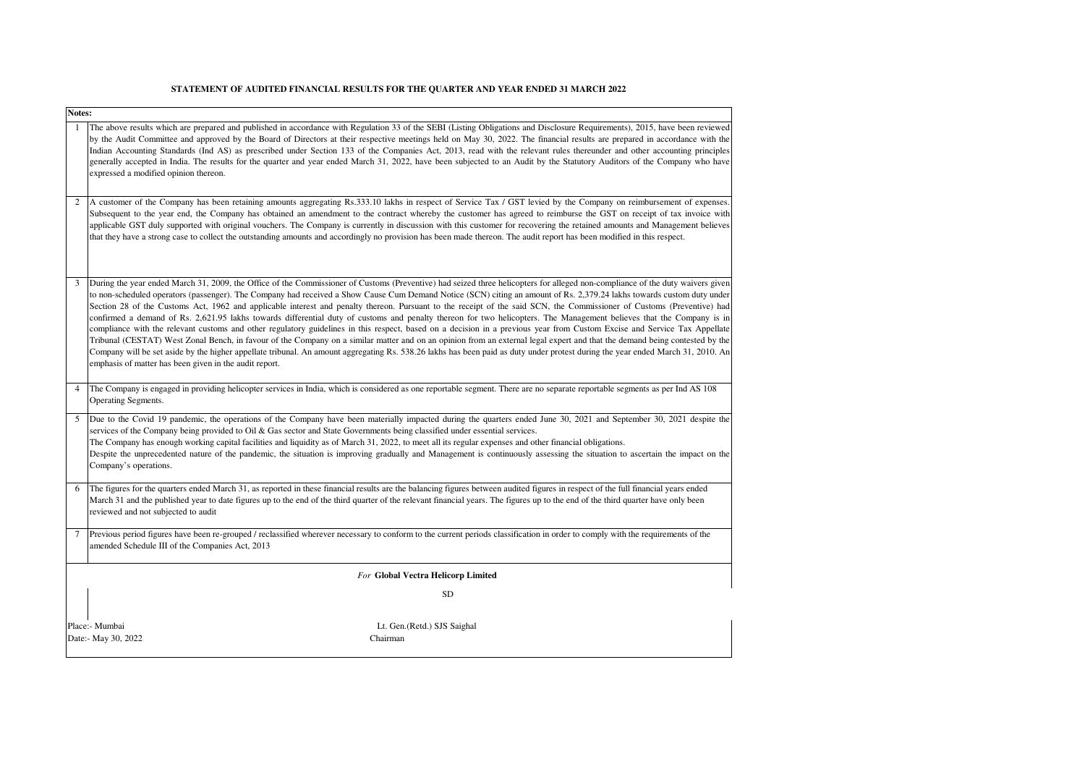#### **STATEMENT OF AUDITED FINANCIAL RESULTS FOR THE QUARTER AND YEAR ENDED 31 MARCH 2022**

|                | Notes:                                                                                                                                                                                                                                                                                                                                                                                                                                                                                                                                                                                                                                                                                                                                                                                                                                                                                                                                                                                                                                                                                                                                                                                                                                                                                                               |  |  |  |  |  |
|----------------|----------------------------------------------------------------------------------------------------------------------------------------------------------------------------------------------------------------------------------------------------------------------------------------------------------------------------------------------------------------------------------------------------------------------------------------------------------------------------------------------------------------------------------------------------------------------------------------------------------------------------------------------------------------------------------------------------------------------------------------------------------------------------------------------------------------------------------------------------------------------------------------------------------------------------------------------------------------------------------------------------------------------------------------------------------------------------------------------------------------------------------------------------------------------------------------------------------------------------------------------------------------------------------------------------------------------|--|--|--|--|--|
|                | The above results which are prepared and published in accordance with Regulation 33 of the SEBI (Listing Obligations and Disclosure Requirements), 2015, have been reviewed<br>by the Audit Committee and approved by the Board of Directors at their respective meetings held on May 30, 2022. The financial results are prepared in accordance with the<br>Indian Accounting Standards (Ind AS) as prescribed under Section 133 of the Companies Act, 2013, read with the relevant rules thereunder and other accounting principles<br>generally accepted in India. The results for the quarter and year ended March 31, 2022, have been subjected to an Audit by the Statutory Auditors of the Company who have<br>expressed a modified opinion thereon.                                                                                                                                                                                                                                                                                                                                                                                                                                                                                                                                                          |  |  |  |  |  |
| 2              | A customer of the Company has been retaining amounts aggregating Rs.333.10 lakhs in respect of Service Tax / GST levied by the Company on reimbursement of expenses.<br>Subsequent to the year end, the Company has obtained an amendment to the contract whereby the customer has agreed to reimburse the GST on receipt of tax invoice with<br>applicable GST duly supported with original vouchers. The Company is currently in discussion with this customer for recovering the retained amounts and Management believes<br>that they have a strong case to collect the outstanding amounts and accordingly no provision has been made thereon. The audit report has been modified in this respect.                                                                                                                                                                                                                                                                                                                                                                                                                                                                                                                                                                                                              |  |  |  |  |  |
| 3              | During the year ended March 31, 2009, the Office of the Commissioner of Customs (Preventive) had seized three helicopters for alleged non-compliance of the duty waivers given<br>to non-scheduled operators (passenger). The Company had received a Show Cause Cum Demand Notice (SCN) citing an amount of Rs. 2,379.24 lakhs towards custom duty under<br>Section 28 of the Customs Act, 1962 and applicable interest and penalty thereon. Pursuant to the receipt of the said SCN, the Commissioner of Customs (Preventive) had<br>confirmed a demand of Rs. 2,621.95 lakhs towards differential duty of customs and penalty thereon for two helicopters. The Management believes that the Company is in<br>compliance with the relevant customs and other regulatory guidelines in this respect, based on a decision in a previous year from Custom Excise and Service Tax Appellate<br>Tribunal (CESTAT) West Zonal Bench, in favour of the Company on a similar matter and on an opinion from an external legal expert and that the demand being contested by the<br>Company will be set aside by the higher appellate tribunal. An amount aggregating Rs. 538.26 lakhs has been paid as duty under protest during the year ended March 31, 2010. An<br>emphasis of matter has been given in the audit report. |  |  |  |  |  |
| $\overline{4}$ | The Company is engaged in providing helicopter services in India, which is considered as one reportable segment. There are no separate reportable segments as per Ind AS 108<br><b>Operating Segments.</b>                                                                                                                                                                                                                                                                                                                                                                                                                                                                                                                                                                                                                                                                                                                                                                                                                                                                                                                                                                                                                                                                                                           |  |  |  |  |  |
| 5              | Due to the Covid 19 pandemic, the operations of the Company have been materially impacted during the quarters ended June 30, 2021 and September 30, 2021 despite the<br>services of the Company being provided to Oil & Gas sector and State Governments being classified under essential services.<br>The Company has enough working capital facilities and liquidity as of March 31, 2022, to meet all its regular expenses and other financial obligations.<br>Despite the unprecedented nature of the pandemic, the situation is improving gradually and Management is continuously assessing the situation to ascertain the impact on the<br>Company's operations.                                                                                                                                                                                                                                                                                                                                                                                                                                                                                                                                                                                                                                              |  |  |  |  |  |
| 6              | The figures for the quarters ended March 31, as reported in these financial results are the balancing figures between audited figures in respect of the full financial years ended<br>March 31 and the published year to date figures up to the end of the third quarter of the relevant financial years. The figures up to the end of the third quarter have only been<br>reviewed and not subjected to audit                                                                                                                                                                                                                                                                                                                                                                                                                                                                                                                                                                                                                                                                                                                                                                                                                                                                                                       |  |  |  |  |  |
| 7              | Previous period figures have been re-grouped / reclassified wherever necessary to conform to the current periods classification in order to comply with the requirements of the<br>amended Schedule III of the Companies Act, 2013                                                                                                                                                                                                                                                                                                                                                                                                                                                                                                                                                                                                                                                                                                                                                                                                                                                                                                                                                                                                                                                                                   |  |  |  |  |  |
|                | <b>For Global Vectra Helicorp Limited</b>                                                                                                                                                                                                                                                                                                                                                                                                                                                                                                                                                                                                                                                                                                                                                                                                                                                                                                                                                                                                                                                                                                                                                                                                                                                                            |  |  |  |  |  |
|                | <b>SD</b>                                                                                                                                                                                                                                                                                                                                                                                                                                                                                                                                                                                                                                                                                                                                                                                                                                                                                                                                                                                                                                                                                                                                                                                                                                                                                                            |  |  |  |  |  |
|                | Place:- Mumbai<br>Lt. Gen. (Retd.) SJS Saighal<br>Date:- May 30, 2022<br>Chairman                                                                                                                                                                                                                                                                                                                                                                                                                                                                                                                                                                                                                                                                                                                                                                                                                                                                                                                                                                                                                                                                                                                                                                                                                                    |  |  |  |  |  |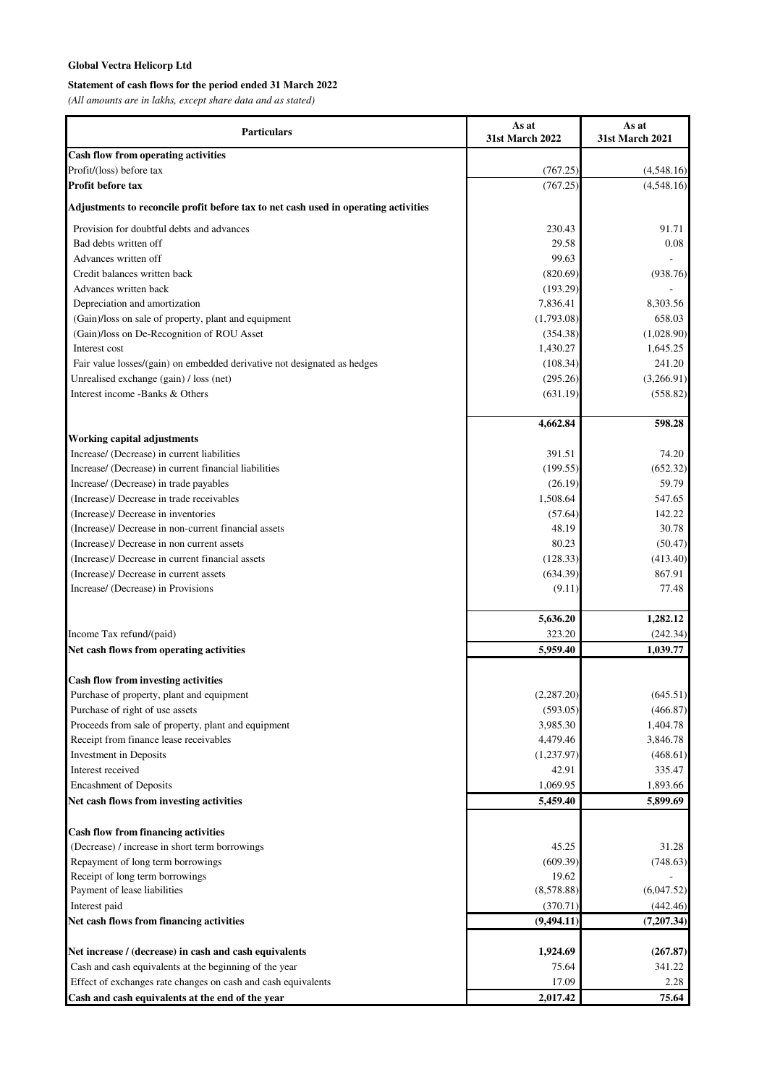# **Global Vectra Helicorp Ltd**

# **Statement of cash flows for the period ended 31 March 2022**

*(All amounts are in lakhs, except share data and as stated)*

| <b>Particulars</b>                                                                  | As at                  | As at           |
|-------------------------------------------------------------------------------------|------------------------|-----------------|
|                                                                                     | <b>31st March 2022</b> | 31st March 2021 |
| <b>Cash flow from operating activities</b>                                          |                        |                 |
| Profit/(loss) before tax                                                            | (767.25)               | (4,548.16)      |
| Profit before tax                                                                   | (767.25)               | (4,548.16)      |
| Adjustments to reconcile profit before tax to net cash used in operating activities |                        |                 |
| Provision for doubtful debts and advances                                           | 230.43                 | 91.71           |
| Bad debts written off                                                               | 29.58                  | 0.08            |
| Advances written off                                                                | 99.63                  |                 |
| Credit balances written back                                                        | (820.69)               | (938.76)        |
| Advances written back                                                               | (193.29)               |                 |
| Depreciation and amortization                                                       | 7,836.41               | 8,303.56        |
| (Gain)/loss on sale of property, plant and equipment                                | (1,793.08)             | 658.03          |
| (Gain)/loss on De-Recognition of ROU Asset                                          | (354.38)               | (1,028.90)      |
| Interest cost                                                                       | 1,430.27               | 1,645.25        |
| Fair value losses/(gain) on embedded derivative not designated as hedges            | (108.34)               | 241.20          |
| Unrealised exchange (gain) / loss (net)                                             | (295.26)               | (3,266.91)      |
| Interest income -Banks & Others                                                     | (631.19)               | (558.82)        |
|                                                                                     | 4,662.84               | 598.28          |
| Working capital adjustments                                                         |                        |                 |
| Increase/ (Decrease) in current liabilities                                         | 391.51                 | 74.20           |
| Increase/ (Decrease) in current financial liabilities                               | (199.55)               | (652.32)        |
| Increase/ (Decrease) in trade payables                                              | (26.19)                | 59.79           |
| (Increase)/ Decrease in trade receivables                                           | 1,508.64               | 547.65          |
| (Increase)/ Decrease in inventories                                                 | (57.64)                | 142.22          |
| (Increase)/ Decrease in non-current financial assets                                | 48.19                  | 30.78           |
| (Increase)/ Decrease in non current assets                                          | 80.23                  | (50.47)         |
| (Increase)/ Decrease in current financial assets                                    | (128.33)               | (413.40)        |
| (Increase)/ Decrease in current assets                                              | (634.39)               | 867.91          |
| Increase/ (Decrease) in Provisions                                                  | (9.11)                 | 77.48           |
|                                                                                     | 5,636.20               | 1,282.12        |
| Income Tax refund/(paid)                                                            | 323.20                 | (242.34)        |
| Net cash flows from operating activities                                            | 5,959.40               | 1,039.77        |
| <b>Cash flow from investing activities</b>                                          |                        |                 |
| Purchase of property, plant and equipment                                           | (2,287.20)             | (645.51)        |
| Purchase of right of use assets                                                     | (593.05)               | (466.87)        |
| Proceeds from sale of property, plant and equipment                                 | 3,985.30               | 1,404.78        |
| Receipt from finance lease receivables                                              | 4,479.46               | 3,846.78        |
| Investment in Deposits                                                              | (1,237.97)             | (468.61)        |
| Interest received                                                                   | 42.91                  | 335.47          |
| <b>Encashment of Deposits</b>                                                       | 1,069.95               | 1,893.66        |
| Net cash flows from investing activities                                            | 5,459.40               | 5,899.69        |
| Cash flow from financing activities                                                 |                        |                 |
| (Decrease) / increase in short term borrowings                                      | 45.25                  | 31.28           |
| Repayment of long term borrowings                                                   | (609.39)               | (748.63)        |
| Receipt of long term borrowings                                                     | 19.62                  |                 |
| Payment of lease liabilities                                                        | (8,578.88)             | (6,047.52)      |
| Interest paid                                                                       | (370.71)               | (442.46)        |
| Net cash flows from financing activities                                            | (9,494.11)             | (7,207.34)      |
| Net increase / (decrease) in cash and cash equivalents                              | 1,924.69               | (267.87)        |
| Cash and cash equivalents at the beginning of the year                              | 75.64                  | 341.22          |
| Effect of exchanges rate changes on cash and cash equivalents                       | 17.09                  | 2.28            |
| Cash and cash equivalents at the end of the year                                    | 2,017.42               | 75.64           |